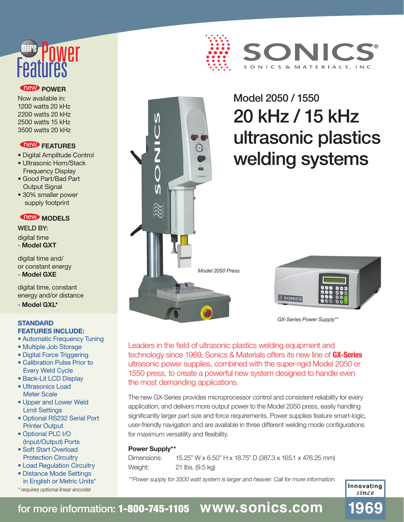# **Features** more

#### *<u>New POWER</u>*

Now available in: 1200 watts 20 kHz 2200 watts 20 kHz 2500 watts 15 kHz 3500 watts 20 kHz

#### **TREW FEATURES**

- Digital Amplitude Control
- Ultrasonic Horn/Stack Frequency Display
- Good Part/Bad Part Output Signal
- 30% smaller power supply footprint

#### *MeW* MODELS

WELD BY: digital time - **Model GXT** 

digital time and/ or constant energy - **Model GXE**

digital time, constant energy and/or distance

- **Model GXL\***

#### **STANDARD FEATURES INCLUDE:**

- Automatic Frequency Tuning
- Multiple Job Storage
- Digital Force Triggering
- Calibration Pulse Prior to Every Weld Cycle
- Back-Lit LCD Display
- Ultrasonics Load Meter Scale
- Upper and Lower Weld Limit Settings
- Optional RS232 Serial Port Printer Output
- Optional PLC I/O (Input/Output) Ports
- Soft Start Overload Protection Circuitry
- Load Regulation Circuitry
- Distance Mode Settings in English or Metric Units\*
- \* requires optional linear encoder





## Model 2050 / 1550 20 kHz / 15 kHz ultrasonic plastics welding systems



*GX-Series Power Supply\*\**

Leaders in the field of ultrasonic plastics welding equipment and technology since 1969, Sonics & Materials offers its new line of **GX-Series** ultrasonic power supplies, combined with the super-rigid Model 2050 or 1550 press, to create a powerful new system designed to handle even the most demanding applications.

The new GX-Series provides microprocessor control and consistent reliability for every application, and delivers more output power to the Model 2050 press, easily handling significantly larger part size and force requirements. Power supplies feature smart-logic, user-friendly navigation and are available in three different welding mode configurations for maximum versatility and flexibility.

#### **Power Supply\*\***

Dimensions: 15.25" W x 6.50" H x 18.75" D (387.3 x 165.1 x 476.25 mm) Weight: 21 lbs. (9.5 kg)

\*\*Power supply for 3500 watt system is larger and heavier. Call for more information.

Innovating sínce

1969

## for more information: 1-800-745-1105 **www.sonics.com**